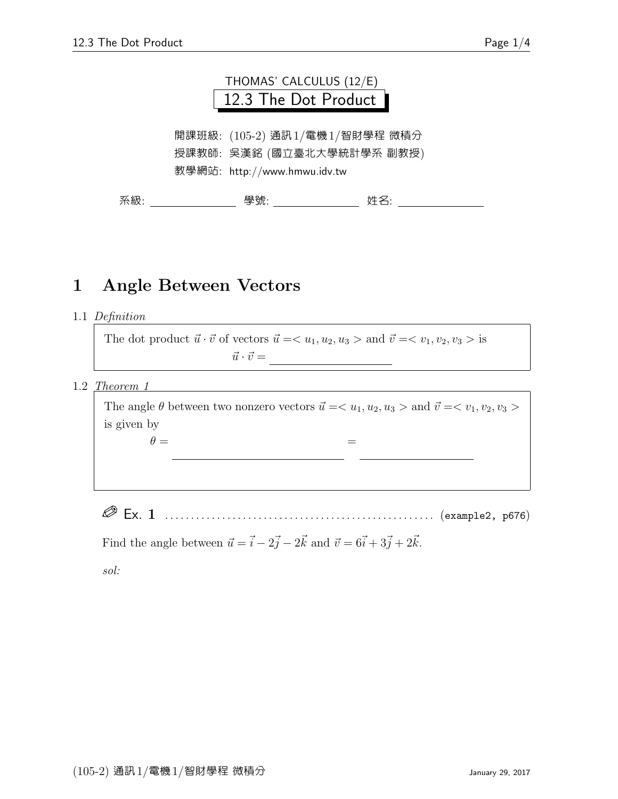

開課班級: (105-2) 通訊1/電機1/智財學程 微積分 授課教師: 吳漢銘 (國立臺北大學統計學系 副教授) 教學網站: http://www.hmwu.idv.tw

系級: 學號: 姓名:

## 1 Angle Between Vectors

1.1 Definition

The dot product  $\vec{u} \cdot \vec{v}$  of vectors  $\vec{u} = \langle u_1, u_2, u_3 \rangle$  and  $\vec{v} = \langle v_1, v_2, v_3 \rangle$  is ~u · ~v = u1v<sup>1</sup> + u2v<sup>2</sup> + u3v<sup>3</sup>

 $1.2$  Theorem 1

The angle  $\theta$  between two nonzero vectors  $\vec{u} = \langle u_1, u_2, u_3 \rangle$  and  $\vec{v} = \langle v_1, v_2, v_3 \rangle$ is given by  $\theta =$ = cos<sup>−</sup><sup>1</sup>

Ex. 1 . . . . . . . . . . . . . . . . . . . . . . . . . . . . . . . . . . . . . . . . . . . . . . . . . . . . (example2, p676)

Find the angle between  $\vec{u} = \vec{i} - 2\vec{j} - 2\vec{k}$  and  $\vec{v} = 6\vec{i} + 3\vec{j} + 2\vec{k}$ .

sol: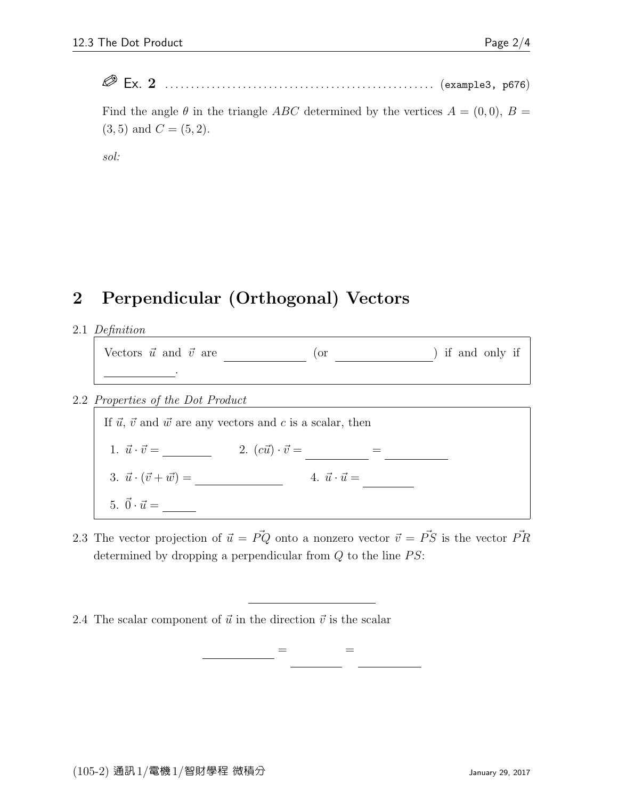Ex. 2 . . . . . . . . . . . . . . . . . . . . . . . . . . . . . . . . . . . . . . . . . . . . . . . . . . . . (example3, p676)

Find the angle  $\theta$  in the triangle ABC determined by the vertices  $A = (0,0), B =$  $(3, 5)$  and  $C = (5, 2)$ .

sol:

## 2 Perpendicular (Orthogonal) Vectors

2.1 Definition

| Vectors $\vec{u}$ and $\vec{v}$ are |  | ) if and only if |
|-------------------------------------|--|------------------|
|                                     |  |                  |

2.2 Properties of the Dot Product

If  $\vec{u}$ ,  $\vec{v}$  and  $\vec{w}$  are any vectors and c is a scalar, then 1.  $\vec{u} \cdot \vec{v} =$   $2. (c\vec{u}) \cdot \vec{v} =$   $=$ 3.  $\vec{u} \cdot (\vec{v} + \vec{w}) =$  4.  $\vec{u} \cdot \vec{u} =$ 5.  $\vec{0} \cdot \vec{u} = \_$ 

2.3 The vector projection of  $\vec{u} = \vec{PQ}$  onto a nonzero vector  $\vec{v} = \vec{PS}$  is the vector  $\vec{PR}$ determined by dropping a perpendicular from  $Q$  to the line  $PS$ :

 $=$   $\qquad$ 

2.4 The scalar component of  $\vec{u}$  in the direction  $\vec{v}$  is the scalar

 $k_{\rm eff}$ uk cos  $\epsilon =$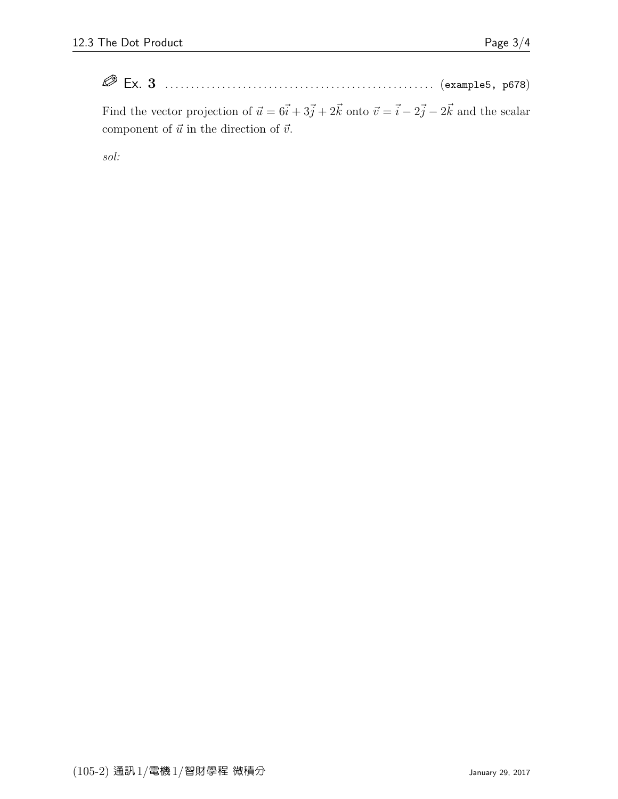Ex. 3 . . . . . . . . . . . . . . . . . . . . . . . . . . . . . . . . . . . . . . . . . . . . . . . . . . . . (example5, p678)

Find the vector projection of  $\vec{u} = 6\vec{i} + 3\vec{j} + 2\vec{k}$  onto  $\vec{v} = \vec{i} - 2\vec{j} - 2\vec{k}$  and the scalar component of  $\vec{u}$  in the direction of  $\vec{v}$ .

sol: